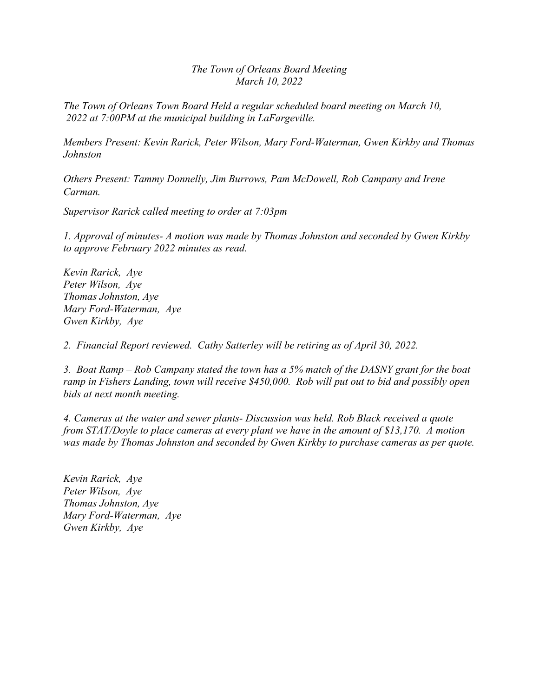*The Town of Orleans Board Meeting March 10, 2022* 

*The Town of Orleans Town Board Held a regular scheduled board meeting on March 10, 2022 at 7:00PM at the municipal building in LaFargeville.* 

*Members Present: Kevin Rarick, Peter Wilson, Mary Ford-Waterman, Gwen Kirkby and Thomas Johnston* 

*Others Present: Tammy Donnelly, Jim Burrows, Pam McDowell, Rob Campany and Irene Carman.* 

*Supervisor Rarick called meeting to order at 7:03pm*

*1. Approval of minutes- A motion was made by Thomas Johnston and seconded by Gwen Kirkby to approve February 2022 minutes as read.* 

*Kevin Rarick, Aye Peter Wilson, Aye Thomas Johnston, Aye Mary Ford-Waterman, Aye Gwen Kirkby, Aye* 

*2. Financial Report reviewed. Cathy Satterley will be retiring as of April 30, 2022.* 

*3. Boat Ramp – Rob Campany stated the town has a 5% match of the DASNY grant for the boat ramp in Fishers Landing, town will receive \$450,000. Rob will put out to bid and possibly open bids at next month meeting.* 

*4. Cameras at the water and sewer plants- Discussion was held. Rob Black received a quote from STAT/Doyle to place cameras at every plant we have in the amount of \$13,170. A motion was made by Thomas Johnston and seconded by Gwen Kirkby to purchase cameras as per quote.* 

*Kevin Rarick, Aye Peter Wilson, Aye Thomas Johnston, Aye Mary Ford-Waterman, Aye Gwen Kirkby, Aye*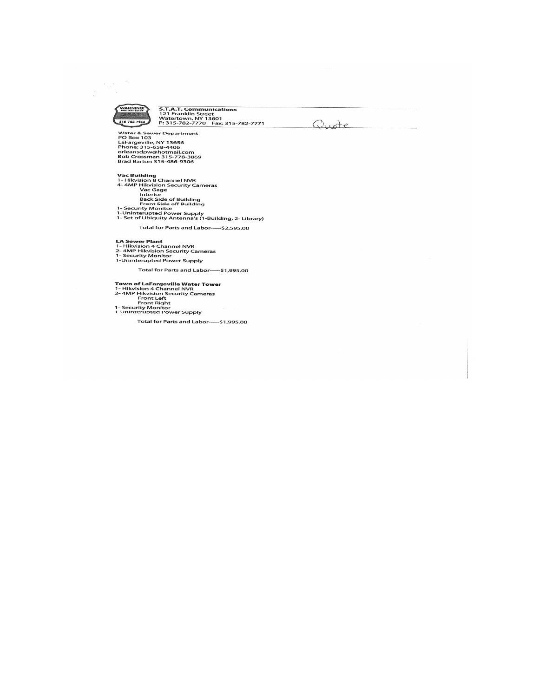

 $\label{eq:1} \begin{array}{c} \mathcal{L}_{\mathcal{A}}(\mathbf{x}) = \frac{1}{\sqrt{2}} \mathcal{L}_{\mathcal{A}} \end{array}$ 

 $\frac{1}{\alpha_{\rm s}}$ 

**S.T.A.T. Communications<br>121 Franklin Street<br>Watertown, NY 13601<br>P: 315-782-7770 Fax: 315-782-7771** 

Quote

Water & Sewer Department<br>PO Box 103<br>LaFargeville, NY 13656<br>Phone: 315-658-4406<br>orleansdpw@hotmail.com<br>Bob Crossman 315-778-3869<br>Brad Barton 315-778-3869

**Vac Building**<br>
1- Hikvision 8 Channel NVR<br>
4- 4MP Hikvision Security Cameras<br>
1 Vac Gage<br>
1 Interior<br>
Back Side of Building<br>
Front Side of Building<br>
1- Security Monitor<br>
1-Uninterupted Power Supply<br>
1- Set of Ubiquity Ant

Total for Parts and Labor-----\$2,595.00

**LA Sewer Plant**<br>1- Hikvision 4 Channel NVR<br>2- 4MP Hikvision Security Cameras<br>1- Security Monitor<br>1-Uninterupted Power Supply

Total for Parts and Labor----\$1,995.00

Town of LaFargeville Water Tower<br>1- Hikvision 4 Channel NVR<br>2- 4MP Hikvision Security Cameras<br>Front Right<br>Front Right<br>1- Security Monitor<br>1-Uninterupted Power Supply

Total for Parts and Labor-----\$1,995.00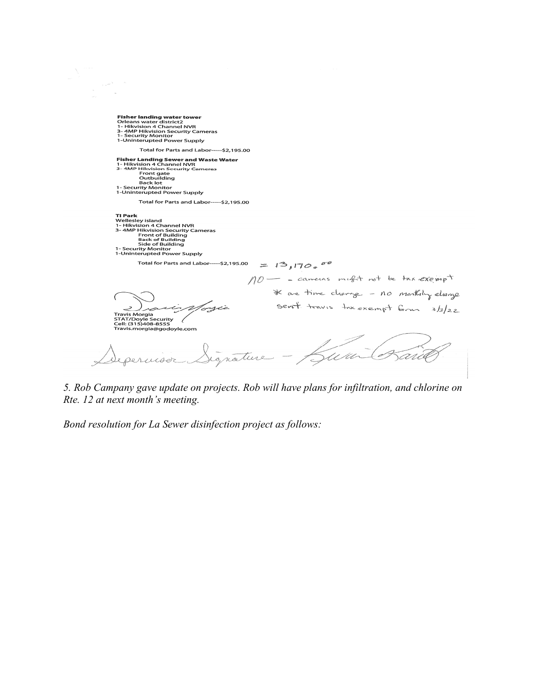**Fisher landing water tower<br>Orleans water district2<br>1- Hikvision 4 Channel NVR<br>3- 4MP Hikvision Sccurity Cameras<br>1- Security Monitor<br>1-Uninterupted Power Supply** Total for Parts and Labor----\$2,195.00 Fisher Landing Sewer and Waste Water<br>1- Hikvision 4 Channel NVR<br>3- 4MP Hikvision Security Cameras<br>6- Front gate<br>6- Dack lot<br>1- Security Monitor<br>1- Security Monitor<br>1-Uninterupted Power Supply Total for Parts and Labor-----\$2,195.00 **TI Park**<br>Wellesley island<br>1- Hikvision 4 Channel NVR<br>3-4MP Hikvision Security Cameras<br>Front of Building<br>5ide of Building<br>1- Security Monitor<br>1-Uninterupted Power Supply Total for Parts and Labor-----\$2,195.00  $= 13,1700^{\circ}$ NO- - carreras might not be tax exempt \* are time change - no monthly always sent travis tre exempt form  $3/22$ 5ar rtx  $\hookrightarrow$ 

*5. Rob Campany gave update on projects. Rob will have plans for infiltration, and chlorine on Rte. 12 at next month's meeting.* 

*Bond resolution for La Sewer disinfection project as follows:* 

 $\frac{1}{\sqrt{2}}\omega^{(4)}=-2$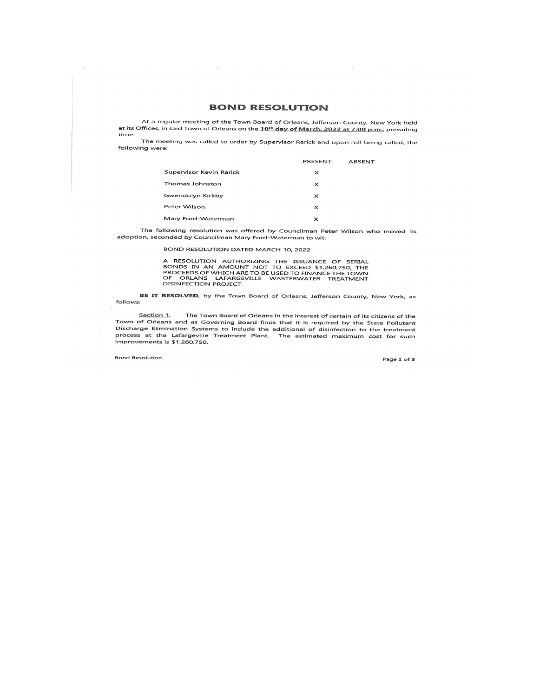## **BOND RESOLUTION**

At a regular meeting of the Town Board of Orleans, Jefferson County, New York held at its Offices, in said Town of Orleans on the 10<sup>th</sup> day of March, 2022 at 7:00 p.m., prevailing time.

The meeting was called to order by Supervisor Rarick and upon roll being called, the following were:

|                         | PRESENT  | ABSENT |
|-------------------------|----------|--------|
| Supervisor Kevin Rarick | ×        |        |
| Thomas Johnston         | ×        |        |
| Gwendolyn Kirkby        | $\times$ |        |
| Peter Wilson            | ×        |        |
| Mary Ford-Waterman      | ×        |        |

The following resolution was offered by Councilman Peter Wilson who moved its adoption, seconded by Councilman Mary Ford-Waterman to wit:

## BOND RESOLUTION DATED MARCH 10, 2022

A RESOLUTION AUTHORIZING THE ISSUANCE OF SERIAL<br>BONDS IN AN AMOUNT NOT TO EXCEED \$1,260,750, THE<br>PROCEEDS OF WHICH ARE TO BE USED TO FINANCE THE TOWN<br>OF ORLANS LAFARGEVILLE WASTERWATER TREATMENT DISINFECTION PROJECT

BE IT RESOLVED, by the Town Board of Orleans, Jefferson County, New York, as follows:

Section 1. The Town Board of Orleans in the interest of certain of its citizens of the Town of Orleans and as Governing Board finds that it is required by the State Pollutant<br>Discharge Elimination Systems to include the additional of disinfection to the treatment process at the Lafargeville Treatment Plant. The estimated maximum cost for such improvements is \$1,260,750.

**Bond Resolution** 

 $\sim$ 

Page 1 of 3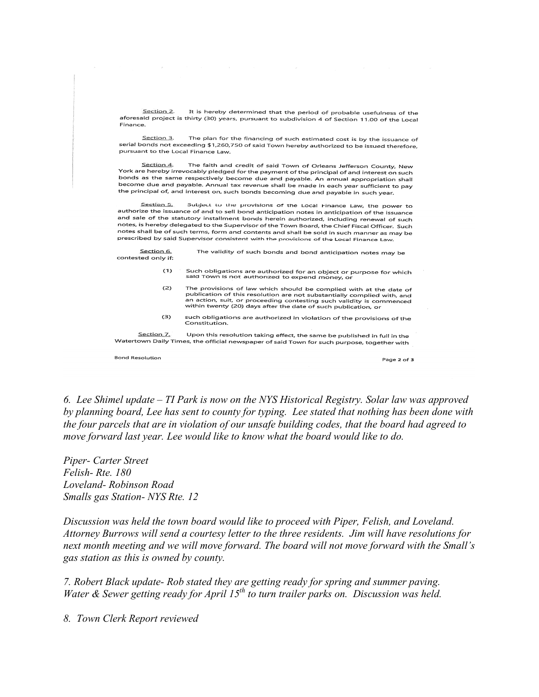Section 2. It is hereby determined that the period of probable usefulness of the aforesaid project is thirty (30) years, pursuant to subdivision 4 of Section 11.00 of the Local Finance.

Section 3. The plan for the financing of such estimated cost is by the issuance of serial bonds not exceeding \$1,260,750 of said Town hereby authorized to be issued therefore, pursuant to the Local Finance Law.

The faith and credit of said Town of Orleans Jefferson County, New Section 4. York are hereby irrevocably pledged for the payment of the principal of and interest on such bonds as the same respectively become due and payable. An annual appropriation shall become due and payable. Annual tax revenue shall be made in each year sufficient to pay the principal of, and interest on, such bonds becoming due and payable in such year.

Subject to the provisions of the Local Finance Law, the power to Section 5. authorize the issuance of and to sell bond anticipation notes in anticipation of the issuance and sale of the statutory installment bonds herein authorized, including renewal of such notes, is hereby delegated to the Supervisor of the Town Board, the Chief Fiscal Officer. Such notes shall be of such terms, form and contents and shall be sold in such manner as may be prescribed by said Supervisor consistent with the provisions of the Local Finance Law.

Section 6. The validity of such bonds and bond anticipation notes may be contested only if:

- $(1)$ Such obligations are authorized for an object or purpose for which<br>said Town is not authorized to expend money, or
- The provisions of law which should be complied with at the date of  $(2)$ publication of this resolution are not substantially complied with, and an action, suit, or proceeding contesting such validity is commenced<br>within twenty (20) days after the date of such publication, or
- $(3)$ such obligations are authorized in violation of the provisions of the Constitution.

Section 7. Upon this resolution taking effect, the same be published in full in the Watertown Daily Times, the official newspaper of said Town for such purpose, together with

**Bond Resolution** 

Page 2 of 3

*6. Lee Shimel update – TI Park is now on the NYS Historical Registry. Solar law was approved by planning board, Lee has sent to county for typing. Lee stated that nothing has been done with the four parcels that are in violation of our unsafe building codes, that the board had agreed to move forward last year. Lee would like to know what the board would like to do.* 

*Piper- Carter Street Felish- Rte. 180 Loveland- Robinson Road Smalls gas Station- NYS Rte. 12* 

*Discussion was held the town board would like to proceed with Piper, Felish, and Loveland. Attorney Burrows will send a courtesy letter to the three residents. Jim will have resolutions for next month meeting and we will move forward. The board will not move forward with the Small's gas station as this is owned by county.* 

*7. Robert Black update- Rob stated they are getting ready for spring and summer paving. Water & Sewer getting ready for April 15th to turn trailer parks on. Discussion was held.* 

*8. Town Clerk Report reviewed*